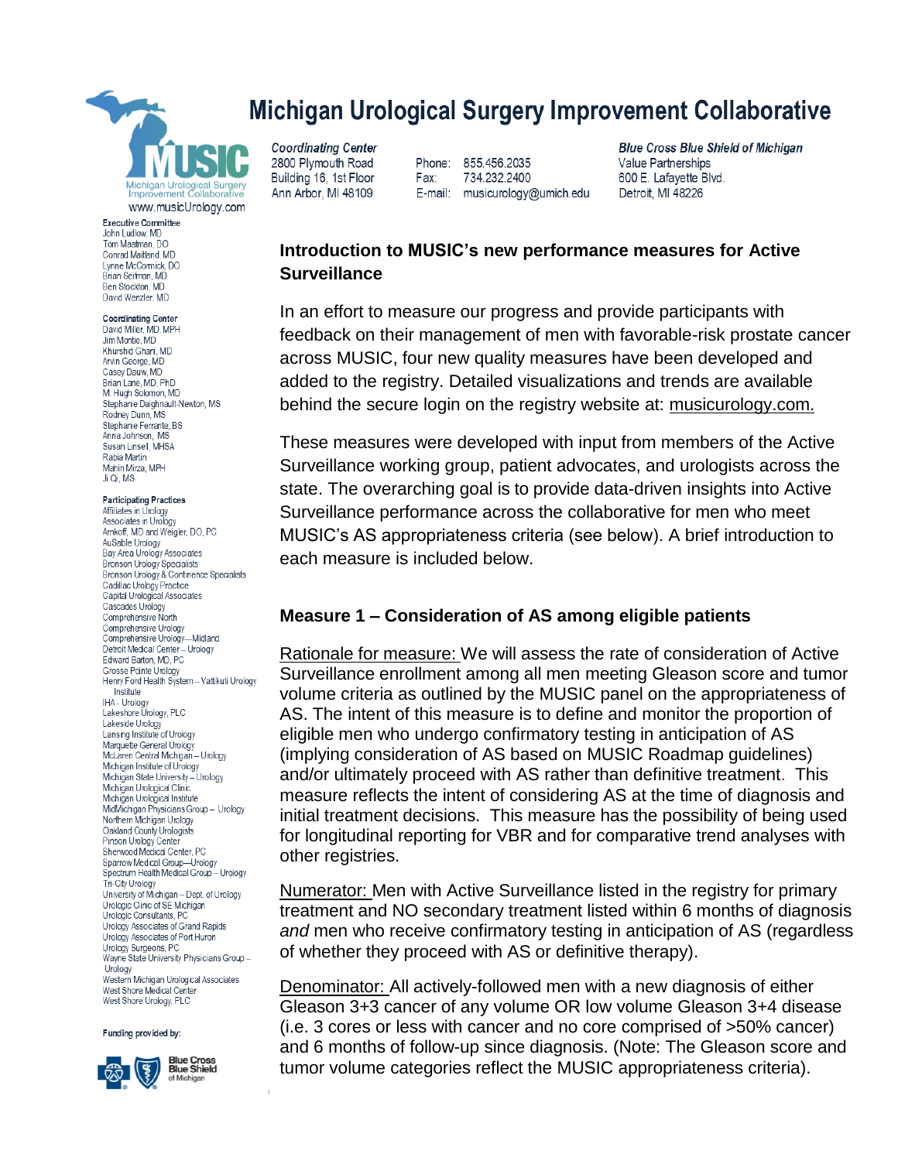

**Executive Committee** John Ludlow, MD Tom Maatman, DO Conrad Maitland MD Lynne McCormick DO Brian Seifman, MD Ben Stockton, MD David Wenzler, MD

#### **Coordinating Center**

David Miller, MD, MPH Jim Montie MD Khurshid Ghani MD Arvin George, MD Casey Dauw, MD Brian Lane, MD, PhD<br>M. Hugh Solomon, MD Stephanie Daighnault-Newton, MS Rodney Dunn, MS Stephanie Ferrante, BS Anna Johnson MS Susan Linsell, MHSA Rabia Martin Mahin Mirza, MPH Ji Qi MS

#### **Participating Practices**

Affiliates in Urology Associates in Urology Arnkoff, MD and Weigler, DO, PC AuSable Urology Bay Area Urology Associates Bronson Urology Specialists Bronson Urology & Continence Specialists Cadillac Urology Practice Capital Urological Associates Cascades Urology Comprehensive North Comprehensive Urology Comprehensive Urology-Midland Detroit Medical Center - Urology Edward Barton, MD, PC Grosse Pointe Urology Henry Ford Health System - Vattikuti Urology Institute IHA - Urology Lakeshore Urology, PLC Lakeside Urology Lansing Institute of Urology Marquette General Urology<br>McLaren Central Michigan - Urology Michigan Institute of Urology Michigan State University - Urology Michigan Urological Clinic Michigan Urological Institute MidMichigan Physicians Group - Urology Northern Michigan Urology Oakland County Urologists Pinson Urology Center Sherwood Medical Center, PC Sparrow Medical Group-Urology<br>Spectrum Health Medical Group - Urology Tri-City Urology University of Michigan - Dept. of Urology Urologic Clinic of SE Michigan Urologic Consultants, PC Urology Associates of Grand Rapids Urology Associates of Port Huron Urology Surgeons, PC Unology Surgeons, r C<br>Wayne State University Physicians Group -Urology Western Michigan Urological Associates West Shore Medical Center West Shore Urology, PLC

Funding provided by:



**Blue Cross<br>Blue Shield** of Michigan

# **Michigan Urological Surgery Improvement Collaborative**

**Coordinating Center** 2800 Plymouth Road Building 16, 1st Floor Ann Arbor, MI 48109

Phone: 855.456.2035 734.232.2400 Fax: E-mail: musicurology@umich.edu

**Blue Cross Blue Shield of Michigan** Value Partnerships 600 E. Lafayette Blvd. Detroit, MI 48226

## **Introduction to MUSIC's new performance measures for Active Surveillance**

In an effort to measure our progress and provide participants with feedback on their management of men with favorable-risk prostate cancer across MUSIC, four new quality measures have been developed and added to the registry. Detailed visualizations and trends are available behind the secure login on the registry website at: musicurology.com.

These measures were developed with input from members of the Active Surveillance working group, patient advocates, and urologists across the state. The overarching goal is to provide data-driven insights into Active Surveillance performance across the collaborative for men who meet MUSIC's AS appropriateness criteria (see below). A brief introduction to each measure is included below.

### **Measure 1 – Consideration of AS among eligible patients**

Rationale for measure: We will assess the rate of consideration of Active Surveillance enrollment among all men meeting Gleason score and tumor volume criteria as outlined by the MUSIC panel on the appropriateness of AS. The intent of this measure is to define and monitor the proportion of eligible men who undergo confirmatory testing in anticipation of AS (implying consideration of AS based on MUSIC Roadmap guidelines) and/or ultimately proceed with AS rather than definitive treatment. This measure reflects the intent of considering AS at the time of diagnosis and initial treatment decisions. This measure has the possibility of being used for longitudinal reporting for VBR and for comparative trend analyses with other registries.

Numerator: Men with Active Surveillance listed in the registry for primary treatment and NO secondary treatment listed within 6 months of diagnosis *and* men who receive confirmatory testing in anticipation of AS (regardless of whether they proceed with AS or definitive therapy).

Denominator: All actively-followed men with a new diagnosis of either Gleason 3+3 cancer of any volume OR low volume Gleason 3+4 disease (i.e. 3 cores or less with cancer and no core comprised of >50% cancer) and 6 months of follow-up since diagnosis. (Note: The Gleason score and tumor volume categories reflect the MUSIC appropriateness criteria).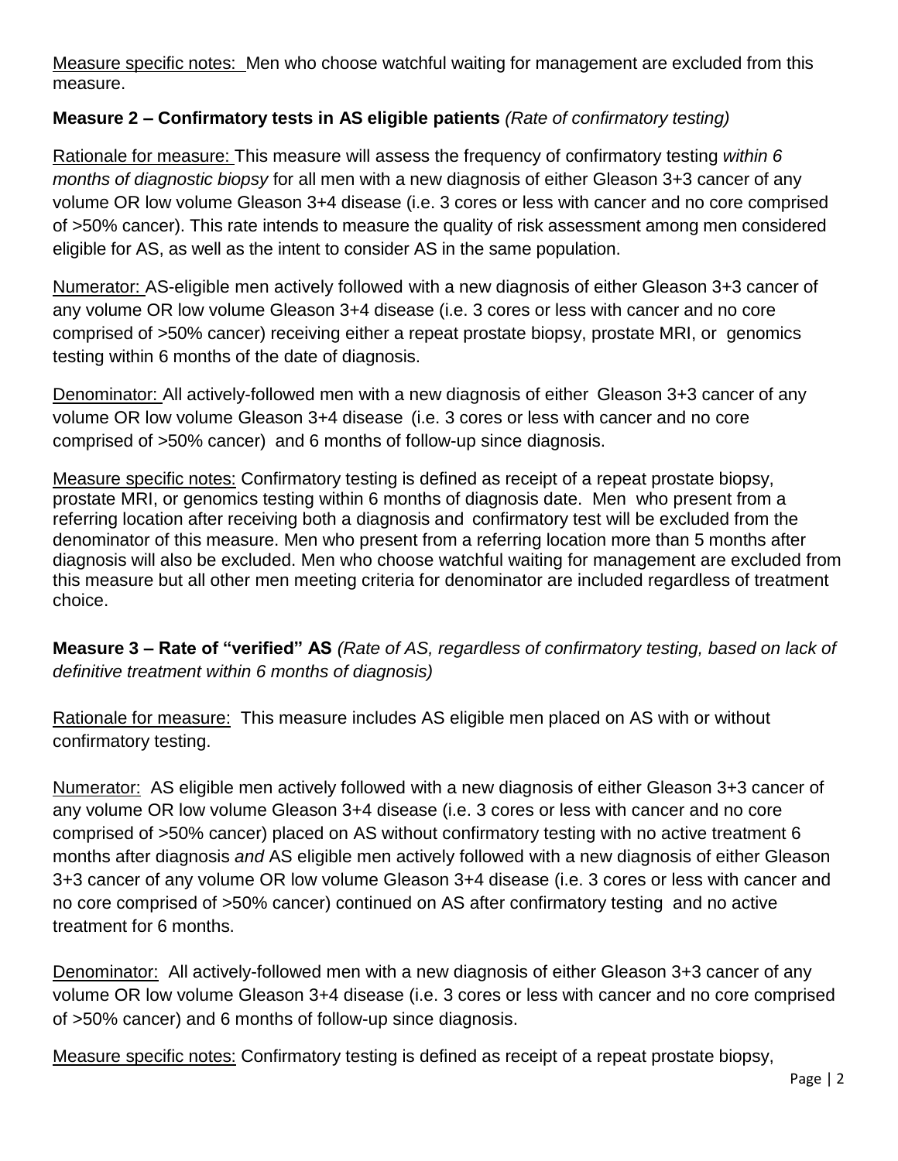Measure specific notes: Men who choose watchful waiting for management are excluded from this measure.

# **Measure 2 – Confirmatory tests in AS eligible patients** *(Rate of confirmatory testing)*

Rationale for measure: This measure will assess the frequency of confirmatory testing *within 6 months of diagnostic biopsy* for all men with a new diagnosis of either Gleason 3+3 cancer of any volume OR low volume Gleason 3+4 disease (i.e. 3 cores or less with cancer and no core comprised of >50% cancer). This rate intends to measure the quality of risk assessment among men considered eligible for AS, as well as the intent to consider AS in the same population.

Numerator: AS-eligible men actively followed with a new diagnosis of either Gleason 3+3 cancer of any volume OR low volume Gleason 3+4 disease (i.e. 3 cores or less with cancer and no core comprised of >50% cancer) receiving either a repeat prostate biopsy, prostate MRI, or genomics testing within 6 months of the date of diagnosis.

Denominator: All actively-followed men with a new diagnosis of either Gleason 3+3 cancer of any volume OR low volume Gleason 3+4 disease (i.e. 3 cores or less with cancer and no core comprised of >50% cancer) and 6 months of follow-up since diagnosis.

Measure specific notes: Confirmatory testing is defined as receipt of a repeat prostate biopsy, prostate MRI, or genomics testing within 6 months of diagnosis date. Men who present from a referring location after receiving both a diagnosis and confirmatory test will be excluded from the denominator of this measure. Men who present from a referring location more than 5 months after diagnosis will also be excluded. Men who choose watchful waiting for management are excluded from this measure but all other men meeting criteria for denominator are included regardless of treatment choice.

**Measure 3 – Rate of "verified" AS** *(Rate of AS, regardless of confirmatory testing, based on lack of definitive treatment within 6 months of diagnosis)*

Rationale for measure: This measure includes AS eligible men placed on AS with or without confirmatory testing.

Numerator: AS eligible men actively followed with a new diagnosis of either Gleason 3+3 cancer of any volume OR low volume Gleason 3+4 disease (i.e. 3 cores or less with cancer and no core comprised of >50% cancer) placed on AS without confirmatory testing with no active treatment 6 months after diagnosis *and* AS eligible men actively followed with a new diagnosis of either Gleason 3+3 cancer of any volume OR low volume Gleason 3+4 disease (i.e. 3 cores or less with cancer and no core comprised of >50% cancer) continued on AS after confirmatory testing and no active treatment for 6 months.

Denominator: All actively-followed men with a new diagnosis of either Gleason 3+3 cancer of any volume OR low volume Gleason 3+4 disease (i.e. 3 cores or less with cancer and no core comprised of >50% cancer) and 6 months of follow-up since diagnosis.

Measure specific notes: Confirmatory testing is defined as receipt of a repeat prostate biopsy,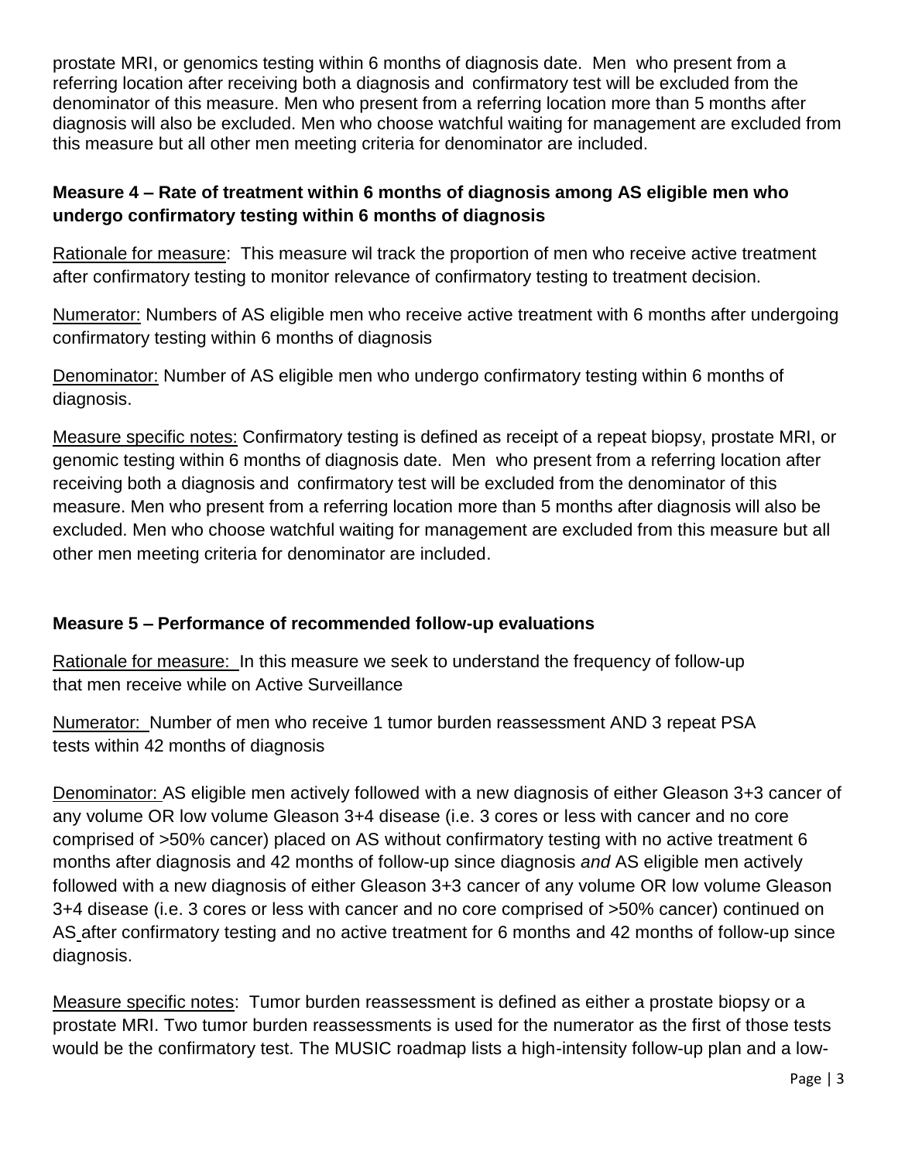prostate MRI, or genomics testing within 6 months of diagnosis date. Men who present from a referring location after receiving both a diagnosis and confirmatory test will be excluded from the denominator of this measure. Men who present from a referring location more than 5 months after diagnosis will also be excluded. Men who choose watchful waiting for management are excluded from this measure but all other men meeting criteria for denominator are included.

# **Measure 4 – Rate of treatment within 6 months of diagnosis among AS eligible men who undergo confirmatory testing within 6 months of diagnosis**

Rationale for measure: This measure wil track the proportion of men who receive active treatment after confirmatory testing to monitor relevance of confirmatory testing to treatment decision.

Numerator: Numbers of AS eligible men who receive active treatment with 6 months after undergoing confirmatory testing within 6 months of diagnosis

Denominator: Number of AS eligible men who undergo confirmatory testing within 6 months of diagnosis.

Measure specific notes: Confirmatory testing is defined as receipt of a repeat biopsy, prostate MRI, or genomic testing within 6 months of diagnosis date. Men who present from a referring location after receiving both a diagnosis and confirmatory test will be excluded from the denominator of this measure. Men who present from a referring location more than 5 months after diagnosis will also be excluded. Men who choose watchful waiting for management are excluded from this measure but all other men meeting criteria for denominator are included.

## **Measure 5 – Performance of recommended follow-up evaluations**

Rationale for measure: In this measure we seek to understand the frequency of follow-up that men receive while on Active Surveillance

Numerator: Number of men who receive 1 tumor burden reassessment AND 3 repeat PSA tests within 42 months of diagnosis

Denominator: AS eligible men actively followed with a new diagnosis of either Gleason 3+3 cancer of any volume OR low volume Gleason 3+4 disease (i.e. 3 cores or less with cancer and no core comprised of >50% cancer) placed on AS without confirmatory testing with no active treatment 6 months after diagnosis and 42 months of follow-up since diagnosis *and* AS eligible men actively followed with a new diagnosis of either Gleason 3+3 cancer of any volume OR low volume Gleason 3+4 disease (i.e. 3 cores or less with cancer and no core comprised of >50% cancer) continued on AS after confirmatory testing and no active treatment for 6 months and 42 months of follow-up since diagnosis.

Measure specific notes: Tumor burden reassessment is defined as either a prostate biopsy or a prostate MRI. Two tumor burden reassessments is used for the numerator as the first of those tests would be the confirmatory test. The MUSIC roadmap lists a high-intensity follow-up plan and a low-